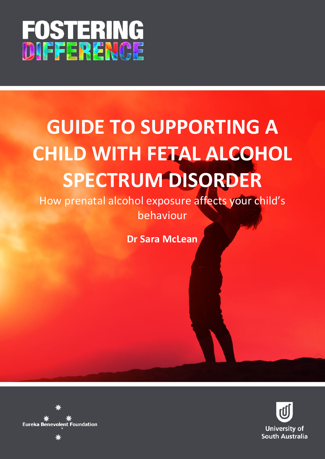

# **GUIDE TO SUPPORTING A CHILD WITH FETAL ALCOHOL SPECTRUM DISORDER**

How prenatal alcohol exposure affects your child's behaviour

**Dr Sara McLean**



**Eureka Benevolent Foundation**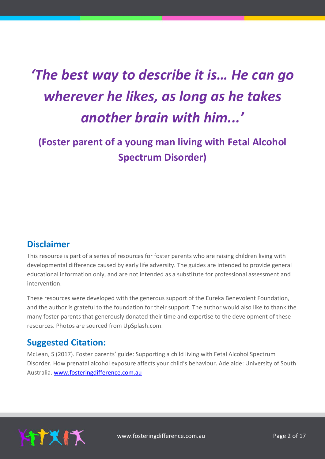# *'The best way to describe it is… He can go wherever he likes, as long as he takes another brain with him...'*

# **(Foster parent of a young man living with Fetal Alcohol Spectrum Disorder)**

# **Disclaimer**

This resource is part of a series of resources for foster parents who are raising children living with developmental difference caused by early life adversity. The guides are intended to provide general educational information only, and are not intended as a substitute for professional assessment and intervention.

These resources were developed with the generous support of the Eureka Benevolent Foundation, and the author is grateful to the foundation for their support. The author would also like to thank the many foster parents that generously donated their time and expertise to the development of these resources. Photos are sourced from UpSplash.com.

# **Suggested Citation:**

McLean, S (2017). Foster parents' guide: Supporting a child living with Fetal Alcohol Spectrum Disorder. How prenatal alcohol exposure affects your child's behaviour. Adelaide: University of South Australia. [www.fosteringdifference.com.au](http://www.fosteringdifference.com.au/)

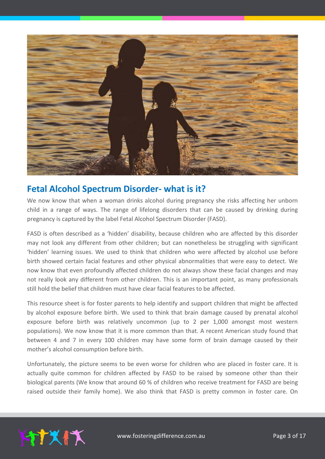

# **Fetal Alcohol Spectrum Disorder- what is it?**

We now know that when a woman drinks alcohol during pregnancy she risks affecting her unborn child in a range of ways. The range of lifelong disorders that can be caused by drinking during pregnancy is captured by the label Fetal Alcohol Spectrum Disorder (FASD).

FASD is often described as a 'hidden' disability, because children who are affected by this disorder may not look any different from other children; but can nonetheless be struggling with significant 'hidden' learning issues. We used to think that children who were affected by alcohol use before birth showed certain facial features and other physical abnormalities that were easy to detect. We now know that even profoundly affected children do not always show these facial changes and may not really look any different from other children. This is an important point, as many professionals still hold the belief that children must have clear facial features to be affected.

This resource sheet is for foster parents to help identify and support children that might be affected by alcohol exposure before birth. We used to think that brain damage caused by prenatal alcohol exposure before birth was relatively uncommon (up to 2 per 1,000 amongst most western populations). We now know that it is more common than that. A recent American study found that between 4 and 7 in every 100 children may have some form of brain damage caused by their mother's alcohol consumption before birth.

Unfortunately, the picture seems to be even worse for children who are placed in foster care. It is actually quite common for children affected by FASD to be raised by someone other than their biological parents (We know that around 60 % of children who receive treatment for FASD are being raised outside their family home). We also think that FASD is pretty common in foster care. On

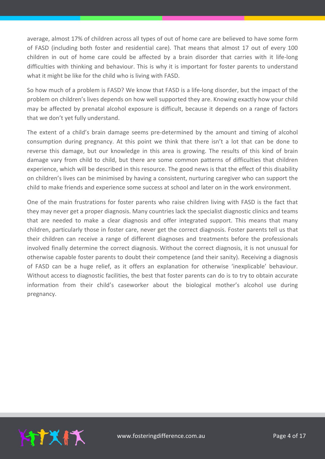average, almost 17% of children across all types of out of home care are believed to have some form of FASD (including both foster and residential care). That means that almost 17 out of every 100 children in out of home care could be affected by a brain disorder that carries with it life-long difficulties with thinking and behaviour. This is why it is important for foster parents to understand what it might be like for the child who is living with FASD.

So how much of a problem is FASD? We know that FASD is a life-long disorder, but the impact of the problem on children's lives depends on how well supported they are. Knowing exactly how your child may be affected by prenatal alcohol exposure is difficult, because it depends on a range of factors that we don't yet fully understand.

The extent of a child's brain damage seems pre-determined by the amount and timing of alcohol consumption during pregnancy. At this point we think that there isn't a lot that can be done to reverse this damage, but our knowledge in this area is growing. The results of this kind of brain damage vary from child to child, but there are some common patterns of difficulties that children experience, which will be described in this resource. The good news is that the effect of this disability on children's lives can be minimised by having a consistent, nurturing caregiver who can support the child to make friends and experience some success at school and later on in the work environment.

One of the main frustrations for foster parents who raise children living with FASD is the fact that they may never get a proper diagnosis. Many countries lack the specialist diagnostic clinics and teams that are needed to make a clear diagnosis and offer integrated support. This means that many children, particularly those in foster care, never get the correct diagnosis. Foster parents tell us that their children can receive a range of different diagnoses and treatments before the professionals involved finally determine the correct diagnosis. Without the correct diagnosis, it is not unusual for otherwise capable foster parents to doubt their competence (and their sanity). Receiving a diagnosis of FASD can be a huge relief, as it offers an explanation for otherwise 'inexplicable' behaviour. Without access to diagnostic facilities, the best that foster parents can do is to try to obtain accurate information from their child's caseworker about the biological mother's alcohol use during pregnancy.

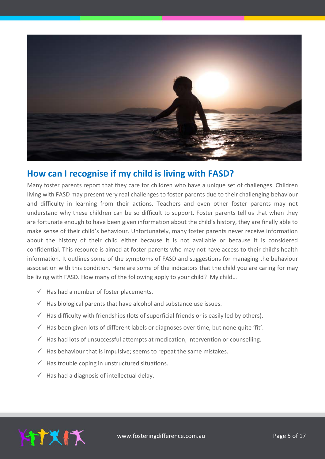

# **How can I recognise if my child is living with FASD?**

Many foster parents report that they care for children who have a unique set of challenges. Children living with FASD may present very real challenges to foster parents due to their challenging behaviour and difficulty in learning from their actions. Teachers and even other foster parents may not understand why these children can be so difficult to support. Foster parents tell us that when they are fortunate enough to have been given information about the child's history, they are finally able to make sense of their child's behaviour. Unfortunately, many foster parents never receive information about the history of their child either because it is not available or because it is considered confidential. This resource is aimed at foster parents who may not have access to their child's health information. It outlines some of the symptoms of FASD and suggestions for managing the behaviour association with this condition. Here are some of the indicators that the child you are caring for may be living with FASD. How many of the following apply to your child? My child...

- $\checkmark$  Has had a number of foster placements.
- $\checkmark$  Has biological parents that have alcohol and substance use issues.
- $\checkmark$  Has difficulty with friendships (lots of superficial friends or is easily led by others).
- $\checkmark$  Has been given lots of different labels or diagnoses over time, but none quite 'fit'.
- $\checkmark$  Has had lots of unsuccessful attempts at medication, intervention or counselling.
- $\checkmark$  Has behaviour that is impulsive; seems to repeat the same mistakes.
- $\checkmark$  Has trouble coping in unstructured situations.
- $\checkmark$  Has had a diagnosis of intellectual delay.

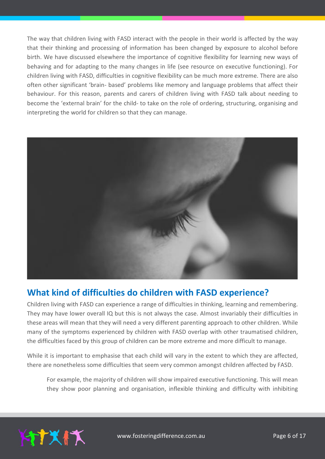The way that children living with FASD interact with the people in their world is affected by the way that their thinking and processing of information has been changed by exposure to alcohol before birth. We have discussed elsewhere the importance of cognitive flexibility for learning new ways of behaving and for adapting to the many changes in life (see resource on executive functioning). For children living with FASD, difficulties in cognitive flexibility can be much more extreme. There are also often other significant 'brain- based' problems like memory and language problems that affect their behaviour. For this reason, parents and carers of children living with FASD talk about needing to become the 'external brain' for the child- to take on the role of ordering, structuring, organising and interpreting the world for children so that they can manage.



# **What kind of difficulties do children with FASD experience?**

Children living with FASD can experience a range of difficulties in thinking, learning and remembering. They may have lower overall IQ but this is not always the case. Almost invariably their difficulties in these areas will mean that they will need a very different parenting approach to other children. While many of the symptoms experienced by children with FASD overlap with other traumatised children, the difficulties faced by this group of children can be more extreme and more difficult to manage.

While it is important to emphasise that each child will vary in the extent to which they are affected, there are nonetheless some difficulties that seem very common amongst children affected by FASD.

For example, the majority of children will show impaired executive functioning. This will mean they show poor planning and organisation, inflexible thinking and difficulty with inhibiting

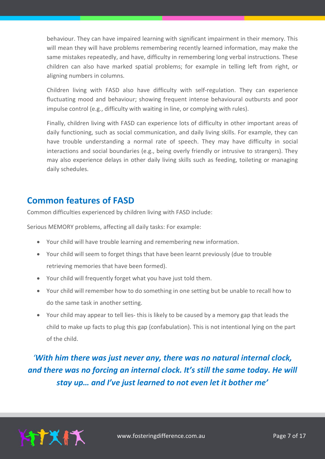behaviour. They can have impaired learning with significant impairment in their memory. This will mean they will have problems remembering recently learned information, may make the same mistakes repeatedly, and have, difficulty in remembering long verbal instructions. These children can also have marked spatial problems; for example in telling left from right, or aligning numbers in columns.

Children living with FASD also have difficulty with self-regulation. They can experience fluctuating mood and behaviour; showing frequent intense behavioural outbursts and poor impulse control (e.g., difficulty with waiting in line, or complying with rules).

Finally, children living with FASD can experience lots of difficulty in other important areas of daily functioning, such as social communication, and daily living skills. For example, they can have trouble understanding a normal rate of speech. They may have difficulty in social interactions and social boundaries (e.g., being overly friendly or intrusive to strangers). They may also experience delays in other daily living skills such as feeding, toileting or managing daily schedules.

# **Common features of FASD**

Common difficulties experienced by children living with FASD include:

Serious MEMORY problems, affecting all daily tasks: For example:

- Your child will have trouble learning and remembering new information.
- Your child will seem to forget things that have been learnt previously (due to trouble retrieving memories that have been formed).
- Your child will frequently forget what you have just told them.
- Your child will remember how to do something in one setting but be unable to recall how to do the same task in another setting.
- Your child may appear to tell lies- this is likely to be caused by a memory gap that leads the child to make up facts to plug this gap (confabulation). This is not intentional lying on the part of the child.

*'With him there was just never any, there was no natural internal clock, and there was no forcing an internal clock. It's still the same today. He will stay up… and I've just learned to not even let it bother me'*

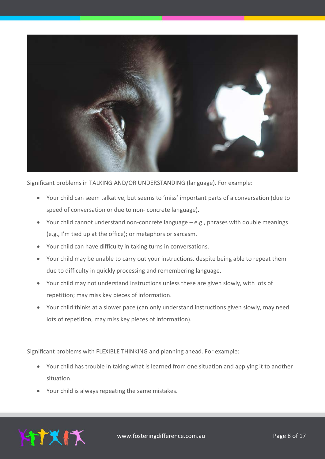

Significant problems in TALKING AND/OR UNDERSTANDING (language). For example:

- Your child can seem talkative, but seems to 'miss' important parts of a conversation (due to speed of conversation or due to non- concrete language).
- Your child cannot understand non-concrete language e.g., phrases with double meanings (e.g., I'm tied up at the office); or metaphors or sarcasm.
- Your child can have difficulty in taking turns in conversations.
- Your child may be unable to carry out your instructions, despite being able to repeat them due to difficulty in quickly processing and remembering language.
- Your child may not understand instructions unless these are given slowly, with lots of repetition; may miss key pieces of information.
- Your child thinks at a slower pace (can only understand instructions given slowly, may need lots of repetition, may miss key pieces of information).

Significant problems with FLEXIBLE THINKING and planning ahead. For example:

- Your child has trouble in taking what is learned from one situation and applying it to another situation.
- Your child is always repeating the same mistakes.

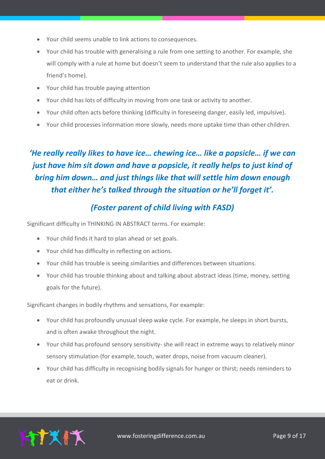- Your child seems unable to link actions to consequences.
- Your child has trouble with generalising a rule from one setting to another. For example, she will comply with a rule at home but doesn't seem to understand that the rule also applies to a friend's home).
- Your child has trouble paying attention
- Your child has lots of difficulty in moving from one task or activity to another.
- Your child often acts before thinking (difficulty in foreseeing danger, easily led, impulsive).
- Your child processes information more slowly, needs more uptake time than other children.

# *'He really really likes to have ice… chewing ice… like a popsicle… if we can just have him sit down and have a popsicle, it really helps to just kind of bring him down… and just things like that will settle him down enough that either he's talked through the situation or he'll forget it'.*

#### *(Foster parent of child living with FASD)*

Significant difficulty in THINKING IN ABSTRACT terms. For example:

- Your child finds it hard to plan ahead or set goals.
- Your child has difficulty in reflecting on actions.
- Your child has trouble is seeing similarities and differences between situations.
- Your child has trouble thinking about and talking about abstract ideas (time, money, setting goals for the future).

Significant changes in bodily rhythms and sensations, For example:

- Your child has profoundly unusual sleep wake cycle. For example, he sleeps in short bursts, and is often awake throughout the night.
- Your child has profound sensory sensitivity- she will react in extreme ways to relatively minor sensory stimulation (for example, touch, water drops, noise from vacuum cleaner).
- Your child has difficulty in recognising bodily signals for hunger or thirst; needs reminders to eat or drink.

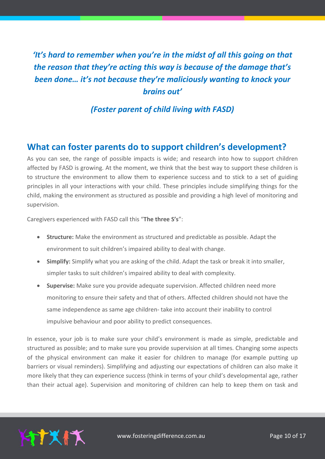# *'It's hard to remember when you're in the midst of all this going on that the reason that they're acting this way is because of the damage that's been done… it's not because they're maliciously wanting to knock your brains out'*

#### *(Foster parent of child living with FASD)*

#### **What can foster parents do to support children's development?**

As you can see, the range of possible impacts is wide; and research into how to support children affected by FASD is growing. At the moment, we think that the best way to support these children is to structure the environment to allow them to experience success and to stick to a set of guiding principles in all your interactions with your child. These principles include simplifying things for the child, making the environment as structured as possible and providing a high level of monitoring and supervision.

Caregivers experienced with FASD call this "**The three S's**":

- **Structure:** Make the environment as structured and predictable as possible. Adapt the environment to suit children's impaired ability to deal with change.
- **Simplify:** Simplify what you are asking of the child. Adapt the task or break it into smaller, simpler tasks to suit children's impaired ability to deal with complexity.
- **Supervise:** Make sure you provide adequate supervision. Affected children need more monitoring to ensure their safety and that of others. Affected children should not have the same independence as same age children- take into account their inability to control impulsive behaviour and poor ability to predict consequences.

In essence, your job is to make sure your child's environment is made as simple, predictable and structured as possible; and to make sure you provide supervision at all times. Changing some aspects of the physical environment can make it easier for children to manage (for example putting up barriers or visual reminders). Simplifying and adjusting our expectations of children can also make it more likely that they can experience success (think in terms of your child's developmental age, rather than their actual age). Supervision and monitoring of children can help to keep them on task and

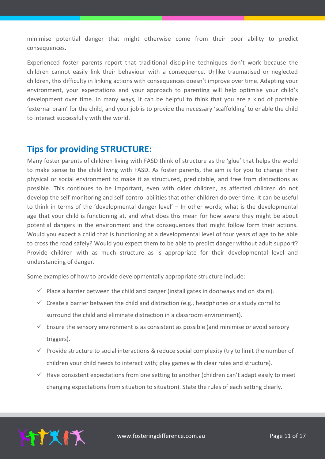minimise potential danger that might otherwise come from their poor ability to predict consequences.

Experienced foster parents report that traditional discipline techniques don't work because the children cannot easily link their behaviour with a consequence. Unlike traumatised or neglected children, this difficulty in linking actions with consequences doesn't improve over time. Adapting your environment, your expectations and your approach to parenting will help optimise your child's development over time. In many ways, it can be helpful to think that you are a kind of portable 'external brain' for the child, and your job is to provide the necessary 'scaffolding' to enable the child to interact successfully with the world.

## **Tips for providing STRUCTURE:**

Many foster parents of children living with FASD think of structure as the 'glue' that helps the world to make sense to the child living with FASD. As foster parents, the aim is for you to change their physical or social environment to make it as structured, predictable, and free from distractions as possible. This continues to be important, even with older children, as affected children do not develop the self-monitoring and self-control abilities that other children do over time. It can be useful to think in terms of the 'developmental danger level' – In other words; what is the developmental age that your child is functioning at, and what does this mean for how aware they might be about potential dangers in the environment and the consequences that might follow form their actions. Would you expect a child that is functioning at a developmental level of four years of age to be able to cross the road safely? Would you expect them to be able to predict danger without adult support? Provide children with as much structure as is appropriate for their developmental level and understanding of danger.

Some examples of how to provide developmentally appropriate structure include:

- $\checkmark$  Place a barrier between the child and danger (install gates in doorways and on stairs).
- $\checkmark$  Create a barrier between the child and distraction (e.g., headphones or a study corral to surround the child and eliminate distraction in a classroom environment).
- $\checkmark$  Ensure the sensory environment is as consistent as possible (and minimise or avoid sensory triggers).
- $\checkmark$  Provide structure to social interactions & reduce social complexity (try to limit the number of children your child needs to interact with; play games with clear rules and structure).
- $\checkmark$  Have consistent expectations from one setting to another (children can't adapt easily to meet changing expectations from situation to situation). State the rules of each setting clearly.

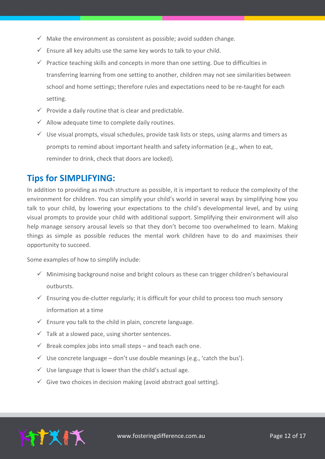- $\checkmark$  Make the environment as consistent as possible; avoid sudden change.
- $\checkmark$  Ensure all key adults use the same key words to talk to your child.
- $\checkmark$  Practice teaching skills and concepts in more than one setting. Due to difficulties in transferring learning from one setting to another, children may not see similarities between school and home settings; therefore rules and expectations need to be re-taught for each setting.
- $\checkmark$  Provide a daily routine that is clear and predictable.
- $\checkmark$  Allow adequate time to complete daily routines.
- $\checkmark$  Use visual prompts, visual schedules, provide task lists or steps, using alarms and timers as prompts to remind about important health and safety information (e.g., when to eat, reminder to drink, check that doors are locked).

## **Tips for SIMPLIFYING:**

In addition to providing as much structure as possible, it is important to reduce the complexity of the environment for children. You can simplify your child's world in several ways by simplifying how you talk to your child, by lowering your expectations to the child's developmental level, and by using visual prompts to provide your child with additional support. Simplifying their environment will also help manage sensory arousal levels so that they don't become too overwhelmed to learn. Making things as simple as possible reduces the mental work children have to do and maximises their opportunity to succeed.

Some examples of how to simplify include:

- $\checkmark$  Minimising background noise and bright colours as these can trigger children's behavioural outbursts.
- $\checkmark$  Ensuring you de-clutter regularly; it is difficult for your child to process too much sensory information at a time
- $\checkmark$  Ensure you talk to the child in plain, concrete language.
- $\checkmark$  Talk at a slowed pace, using shorter sentences.
- $\checkmark$  Break complex jobs into small steps and teach each one.
- $\checkmark$  Use concrete language don't use double meanings (e.g., 'catch the bus').
- $\checkmark$  Use language that is lower than the child's actual age.
- $\checkmark$  Give two choices in decision making (avoid abstract goal setting).

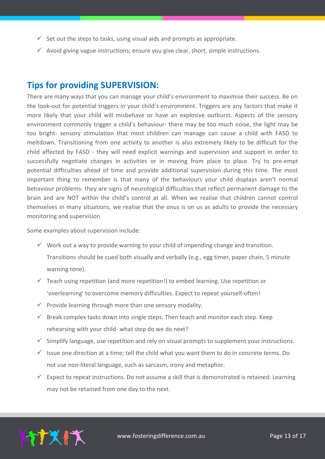- $\checkmark$  Set out the steps to tasks, using visual aids and prompts as appropriate.
- $\checkmark$  Avoid giving vague instructions; ensure you give clear, short, simple instructions.

#### **Tips for providing SUPERVISION:**

There are many ways that you can manage your child's environment to maximise their success. Be on the look-out for potential triggers in your child's environment. Triggers are any factors that make it more likely that your child will misbehave or have an explosive outburst. Aspects of the sensory environment commonly trigger a child's behaviour- there may be too much noise, the light may be too bright- sensory stimulation that most children can manage can cause a child with FASD to meltdown. Transitioning from one activity to another is also extremely likely to be difficult for the child affected by FASD - they will need explicit warnings and supervision and support in order to successfully negotiate changes in activities or in moving from place to place. Try to pre-empt potential difficulties ahead of time and provide additional supervision during this time. The most important thing to remember is that many of the behaviours your child displays aren't normal behaviour problems- they are signs of neurological difficulties that reflect permanent damage to the brain and are NOT within the child's control at all. When we realise that children cannot control themselves in many situations, we realise that the onus is on us as adults to provide the necessary monitoring and supervision.

Some examples about supervision include:

- $\checkmark$  Work out a way to provide warning to your child of impending change and transition. Transitions should be cued both visually and verbally (e.g., egg timer, paper chain, 5 minute warning tone).
- $\checkmark$  Teach using repetition (and more repetition!) to embed learning. Use repetition or 'overlearning' to overcome memory difficulties. Expect to repeat yourself-often!
- $\checkmark$  Provide learning through more than one sensory modality.
- $\checkmark$  Break complex tasks down into single steps. Then teach and monitor each step. Keep rehearsing with your child- what step do we do next?
- $\checkmark$  Simplify language, use repetition and rely on visual prompts to supplement your instructions.
- $\checkmark$  Issue one direction at a time; tell the child what you want them to do in concrete terms. Do not use non-literal language, such as sarcasm, irony and metaphor.
- $\checkmark$  Expect to repeat instructions. Do not assume a skill that is demonstrated is retained. Learning may not be retained from one day to the next.

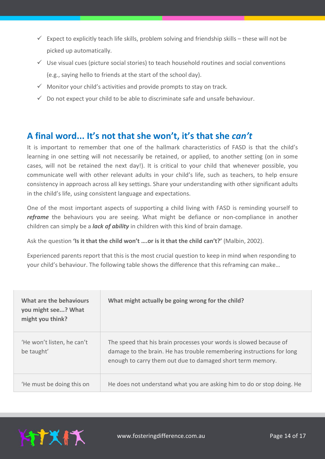- Expect to explicitly teach life skills, problem solving and friendship skills these will not be picked up automatically.
- $\checkmark$  Use visual cues (picture social stories) to teach household routines and social conventions (e.g., saying hello to friends at the start of the school day).
- $\checkmark$  Monitor your child's activities and provide prompts to stay on track.
- $\checkmark$  Do not expect your child to be able to discriminate safe and unsafe behaviour.

# **A final word... It's not that she won't, it's that she** *can't*

It is important to remember that one of the hallmark characteristics of FASD is that the child's learning in one setting will not necessarily be retained, or applied, to another setting (on in some cases, will not be retained the next day!). It is critical to your child that whenever possible, you communicate well with other relevant adults in your child's life, such as teachers, to help ensure consistency in approach across all key settings. Share your understanding with other significant adults in the child's life, using consistent language and expectations.

One of the most important aspects of supporting a child living with FASD is reminding yourself to reframe the behaviours you are seeing. What might be defiance or non-compliance in another children can simply be a *lack of ability* in children with this kind of brain damage.

Ask the question **'Is it that the child won't ….or is it that the child can't?'** (Malbin, 2002).

Experienced parents report that this is the most crucial question to keep in mind when responding to your child's behaviour. The following table shows the difference that this reframing can make…

| What are the behaviours<br>you might see? What<br>might you think? | What might actually be going wrong for the child?                                                                                                                                                         |
|--------------------------------------------------------------------|-----------------------------------------------------------------------------------------------------------------------------------------------------------------------------------------------------------|
| 'He won't listen, he can't<br>be taught'                           | The speed that his brain processes your words is slowed because of<br>damage to the brain. He has trouble remembering instructions for long<br>enough to carry them out due to damaged short term memory. |
| 'He must be doing this on                                          | He does not understand what you are asking him to do or stop doing. He                                                                                                                                    |

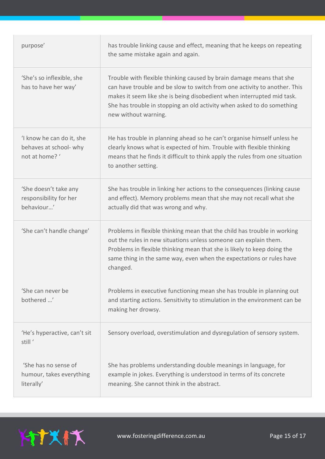| purpose'                                                            | has trouble linking cause and effect, meaning that he keeps on repeating<br>the same mistake again and again.                                                                                                                                                                                                                 |
|---------------------------------------------------------------------|-------------------------------------------------------------------------------------------------------------------------------------------------------------------------------------------------------------------------------------------------------------------------------------------------------------------------------|
| 'She's so inflexible, she<br>has to have her way'                   | Trouble with flexible thinking caused by brain damage means that she<br>can have trouble and be slow to switch from one activity to another. This<br>makes it seem like she is being disobedient when interrupted mid task.<br>She has trouble in stopping an old activity when asked to do something<br>new without warning. |
| I know he can do it, she<br>behaves at school- why<br>not at home?' | He has trouble in planning ahead so he can't organise himself unless he<br>clearly knows what is expected of him. Trouble with flexible thinking<br>means that he finds it difficult to think apply the rules from one situation<br>to another setting.                                                                       |
| 'She doesn't take any<br>responsibility for her<br>behaviour'       | She has trouble in linking her actions to the consequences (linking cause<br>and effect). Memory problems mean that she may not recall what she<br>actually did that was wrong and why.                                                                                                                                       |
| 'She can't handle change'                                           | Problems in flexible thinking mean that the child has trouble in working<br>out the rules in new situations unless someone can explain them.<br>Problems in flexible thinking mean that she is likely to keep doing the<br>same thing in the same way, even when the expectations or rules have<br>changed.                   |
| 'She can never be<br>bothered '                                     | Problems in executive functioning mean she has trouble in planning out<br>and starting actions. Sensitivity to stimulation in the environment can be<br>making her drowsy.                                                                                                                                                    |
| 'He's hyperactive, can't sit<br>still <sup>'</sup>                  | Sensory overload, overstimulation and dysregulation of sensory system.                                                                                                                                                                                                                                                        |
| 'She has no sense of<br>humour, takes everything<br>literally'      | She has problems understanding double meanings in language, for<br>example in jokes. Everything is understood in terms of its concrete<br>meaning. She cannot think in the abstract.                                                                                                                                          |

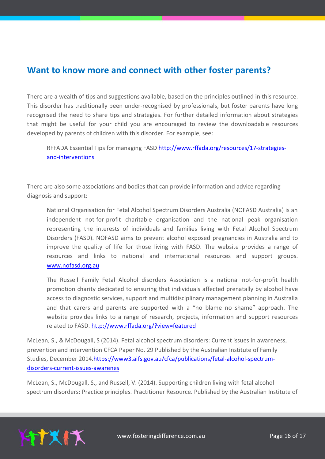# **Want to know more and connect with other foster parents?**

There are a wealth of tips and suggestions available, based on the principles outlined in this resource. This disorder has traditionally been under-recognised by professionals, but foster parents have long recognised the need to share tips and strategies. For further detailed information about strategies that might be useful for your child you are encouraged to review the downloadable resources developed by parents of children with this disorder. For example, see:

RFFADA Essential Tips for managing FASD [http://www.rffada.org/resources/17-strategies](http://www.rffada.org/resources/17-strategies-and-interventions)[and-interventions](http://www.rffada.org/resources/17-strategies-and-interventions)

There are also some associations and bodies that can provide information and advice regarding diagnosis and support:

National Organisation for Fetal Alcohol Spectrum Disorders Australia (NOFASD Australia) is an independent not-for-profit charitable organisation and the national peak organisation representing the interests of individuals and families living with Fetal Alcohol Spectrum Disorders (FASD). NOFASD aims to prevent alcohol exposed pregnancies in Australia and to improve the quality of life for those living with FASD. The website provides a range of resources and links to national and international resources and support groups. [www.nofasd.org.au](http://www.nofasd.org.au/)

The Russell Family Fetal Alcohol disorders Association is a national not-for-profit health promotion charity dedicated to ensuring that individuals affected prenatally by alcohol have access to diagnostic services, support and multidisciplinary management planning in Australia and that carers and parents are supported with a "no blame no shame" approach. The website provides links to a range of research, projects, information and support resources related to FASD.<http://www.rffada.org/?view=featured>

McLean, S., & McDougall, S (2014). Fetal alcohol spectrum disorders: Current issues in awareness, prevention and intervention CFCA Paper No. 29 Published by the Australian Institute of Family Studies, December 2014[.https://www3.aifs.gov.au/cfca/publications/fetal-alcohol-spectrum](https://www3.aifs.gov.au/cfca/publications/fetal-alcohol-spectrum-disorders-current-issues-awarenes)[disorders-current-issues-awarenes](https://www3.aifs.gov.au/cfca/publications/fetal-alcohol-spectrum-disorders-current-issues-awarenes)

McLean, S., McDougall, S., and Russell, V. (2014). Supporting children living with fetal alcohol spectrum disorders: Practice principles. Practitioner Resource. Published by the Australian Institute of